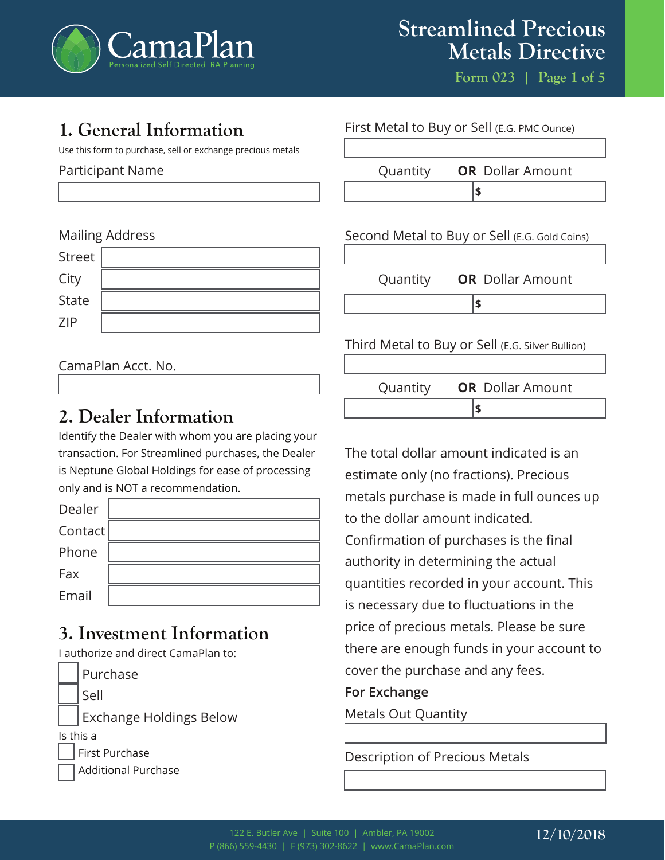

**Form 023 | Page 1 of 5**

# **1. General Information**

Use this form to purchase, sell or exchange precious metals

### Participant Name

## Mailing Address

| Street |  |
|--------|--|
| City   |  |
| State  |  |
| ZIP    |  |

## CamaPlan Acct. No.

# **2. Dealer Information**

Identify the Dealer with whom you are placing your transaction. For Streamlined purchases, the Dealer is Neptune Global Holdings for ease of processing only and is NOT a recommendation.

| Dealer  |  |
|---------|--|
| Contact |  |
| Phone   |  |
| Fax     |  |
| Email   |  |

# **3. Investment Information**

I authorize and direct CamaPlan to:

|                            | Purchase                       |  |
|----------------------------|--------------------------------|--|
|                            | Sell                           |  |
|                            | <b>Exchange Holdings Below</b> |  |
| Is this a                  |                                |  |
| First Purchase             |                                |  |
| <b>Additional Purchase</b> |                                |  |



The total dollar amount indicated is an estimate only (no fractions). Precious metals purchase is made in full ounces up to the dollar amount indicated. Confirmation of purchases is the final authority in determining the actual quantities recorded in your account. This is necessary due to fluctuations in the price of precious metals. Please be sure there are enough funds in your account to cover the purchase and any fees.

### **For Exchange**

Metals Out Quantity

# Description of Precious Metals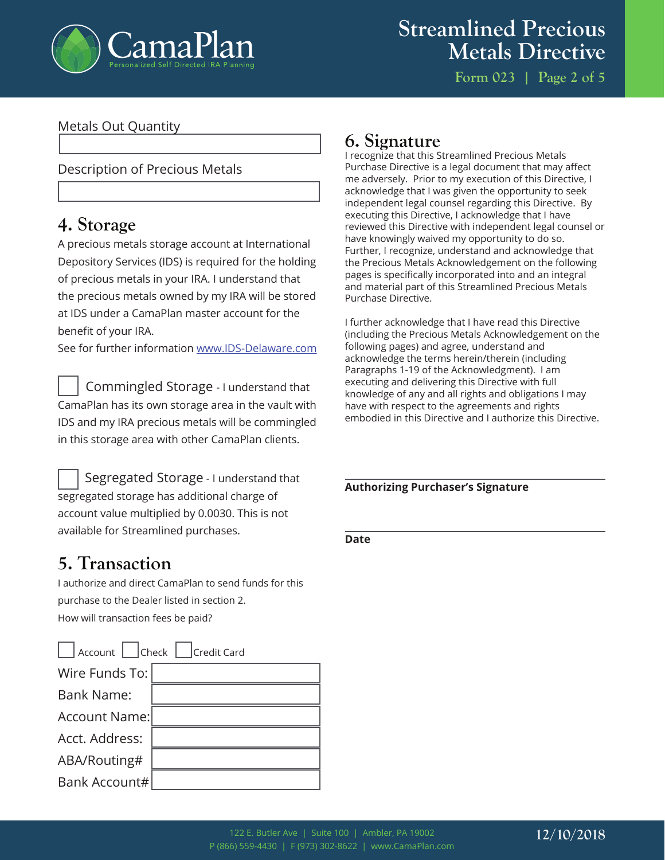

**Form 023 | Page 2 of 5**

### Metals Out Quantity

### Description of Precious Metals

# **4. Storage**

A precious metals storage account at International Depository Services (IDS) is required for the holding of precious metals in your IRA. I understand that the precious metals owned by my IRA will be stored at IDS under a CamaPlan master account for the benefit of your IRA.

See for further information www.IDS-Delaware.com

 Commingled Storage - I understand that CamaPlan has its own storage area in the vault with IDS and my IRA precious metals will be commingled in this storage area with other CamaPlan clients.



# **5. Transaction**

I authorize and direct CamaPlan to send funds for this purchase to the Dealer listed in section 2. How will transaction fees be paid?

| Account     Check     Credit Card |  |  |  |  |
|-----------------------------------|--|--|--|--|
| Wire Funds To:                    |  |  |  |  |
| <b>Bank Name:</b>                 |  |  |  |  |
| Account Name:                     |  |  |  |  |
| Acct. Address:                    |  |  |  |  |
| ABA/Routing#                      |  |  |  |  |
| Bank Account#                     |  |  |  |  |

# **6. Signature**

I recognize that this Streamlined Precious Metals Purchase Directive is a legal document that may affect me adversely. Prior to my execution of this Directive, I acknowledge that I was given the opportunity to seek independent legal counsel regarding this Directive. By executing this Directive, I acknowledge that I have reviewed this Directive with independent legal counsel or have knowingly waived my opportunity to do so. Further, I recognize, understand and acknowledge that the Precious Metals Acknowledgement on the following pages is specifically incorporated into and an integral and material part of this Streamlined Precious Metals Purchase Directive.

I further acknowledge that I have read this Directive (including the Precious Metals Acknowledgement on the following pages) and agree, understand and acknowledge the terms herein/therein (including Paragraphs 1-19 of the Acknowledgment). I am executing and delivering this Directive with full knowledge of any and all rights and obligations I may have with respect to the agreements and rights embodied in this Directive and I authorize this Directive.

#### **Authorizing Purchaser's Signature**

**Date**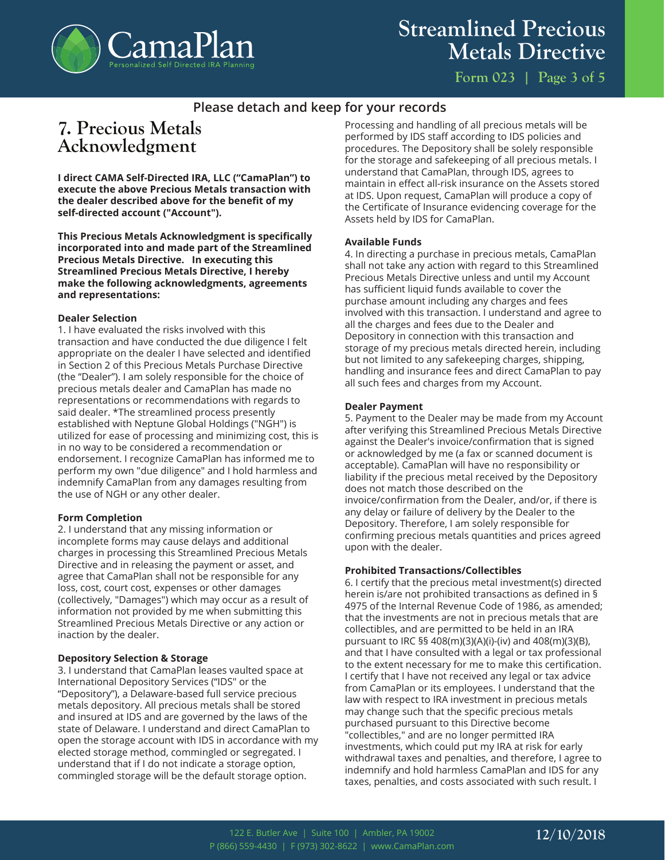

# **Streamlined Precious Metals Directive**

### **Please detach and keep for your records**

# **7. Precious Metals Acknowledgment**

**I direct CAMA Self-Directed IRA, LLC ("CamaPlan") to execute the above Precious Metals transaction with the dealer described above for the benefit of my self-directed account ("Account").** 

**This Precious Metals Acknowledgment is specifically incorporated into and made part of the Streamlined Precious Metals Directive. In executing this Streamlined Precious Metals Directive, I hereby make the following acknowledgments, agreements and representations:**

#### **Dealer Selection**

1. I have evaluated the risks involved with this transaction and have conducted the due diligence I felt appropriate on the dealer I have selected and identified in Section 2 of this Precious Metals Purchase Directive (the "Dealer"). I am solely responsible for the choice of precious metals dealer and CamaPlan has made no representations or recommendations with regards to said dealer. \*The streamlined process presently established with Neptune Global Holdings ("NGH") is utilized for ease of processing and minimizing cost, this is in no way to be considered a recommendation or endorsement. I recognize CamaPlan has informed me to perform my own "due diligence" and I hold harmless and indemnify CamaPlan from any damages resulting from the use of NGH or any other dealer.

#### **Form Completion**

2. I understand that any missing information or incomplete forms may cause delays and additional charges in processing this Streamlined Precious Metals Directive and in releasing the payment or asset, and agree that CamaPlan shall not be responsible for any loss, cost, court cost, expenses or other damages (collectively, "Damages") which may occur as a result of information not provided by me when submitting this Streamlined Precious Metals Directive or any action or inaction by the dealer.

#### **Depository Selection & Storage**

3. I understand that CamaPlan leases vaulted space at International Depository Services ("IDS" or the "Depository"), a Delaware-based full service precious metals depository. All precious metals shall be stored and insured at IDS and are governed by the laws of the state of Delaware. I understand and direct CamaPlan to open the storage account with IDS in accordance with my elected storage method, commingled or segregated. I understand that if I do not indicate a storage option, commingled storage will be the default storage option.

Processing and handling of all precious metals will be performed by IDS staff according to IDS policies and procedures. The Depository shall be solely responsible for the storage and safekeeping of all precious metals. I understand that CamaPlan, through IDS, agrees to maintain in effect all-risk insurance on the Assets stored at IDS. Upon request, CamaPlan will produce a copy of the Certificate of Insurance evidencing coverage for the Assets held by IDS for CamaPlan.

#### **Available Funds**

4. In directing a purchase in precious metals, CamaPlan shall not take any action with regard to this Streamlined Precious Metals Directive unless and until my Account has sufficient liquid funds available to cover the purchase amount including any charges and fees involved with this transaction. I understand and agree to all the charges and fees due to the Dealer and Depository in connection with this transaction and storage of my precious metals directed herein, including but not limited to any safekeeping charges, shipping, handling and insurance fees and direct CamaPlan to pay all such fees and charges from my Account.

#### **Dealer Payment**

5. Payment to the Dealer may be made from my Account after verifying this Streamlined Precious Metals Directive against the Dealer's invoice/confirmation that is signed or acknowledged by me (a fax or scanned document is acceptable). CamaPlan will have no responsibility or liability if the precious metal received by the Depository does not match those described on the invoice/confirmation from the Dealer, and/or, if there is any delay or failure of delivery by the Dealer to the Depository. Therefore, I am solely responsible for confirming precious metals quantities and prices agreed upon with the dealer.

#### **Prohibited Transactions/Collectibles**

6. I certify that the precious metal investment(s) directed herein is/are not prohibited transactions as defined in § 4975 of the Internal Revenue Code of 1986, as amended; that the investments are not in precious metals that are collectibles, and are permitted to be held in an IRA pursuant to IRC §§ 408(m)(3)(A)(i)-(iv) and 408(m)(3)(B), and that I have consulted with a legal or tax professional to the extent necessary for me to make this certification. I certify that I have not received any legal or tax advice from CamaPlan or its employees. I understand that the law with respect to IRA investment in precious metals may change such that the specific precious metals purchased pursuant to this Directive become "collectibles," and are no longer permitted IRA investments, which could put my IRA at risk for early withdrawal taxes and penalties, and therefore, I agree to indemnify and hold harmless CamaPlan and IDS for any taxes, penalties, and costs associated with such result. I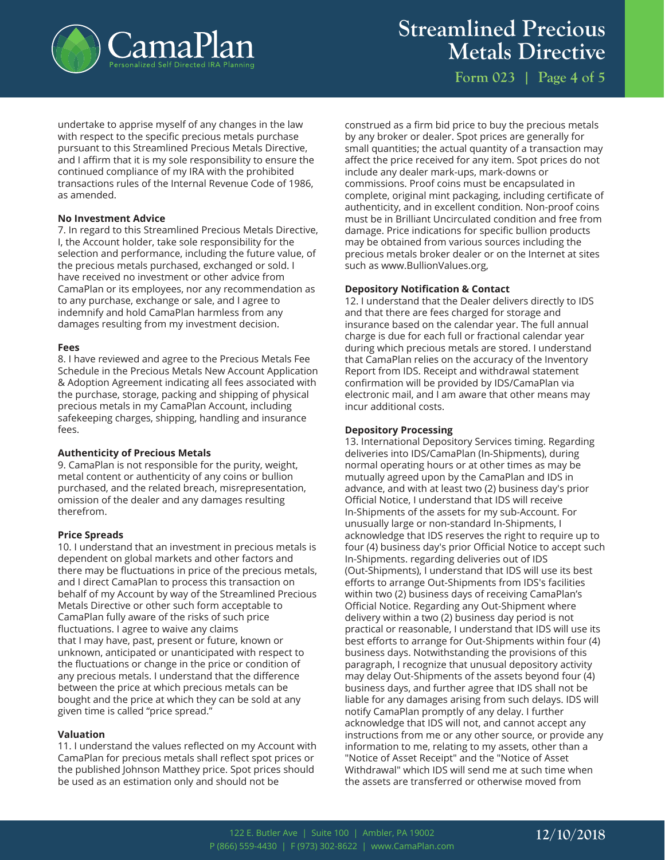

**Streamlined Precious Metals Directive**

**Form 023 | Page 4 of 5**

undertake to apprise myself of any changes in the law with respect to the specific precious metals purchase pursuant to this Streamlined Precious Metals Directive, and I affirm that it is my sole responsibility to ensure the continued compliance of my IRA with the prohibited transactions rules of the Internal Revenue Code of 1986, as amended.

#### **No Investment Advice**

7. In regard to this Streamlined Precious Metals Directive, I, the Account holder, take sole responsibility for the selection and performance, including the future value, of the precious metals purchased, exchanged or sold. I have received no investment or other advice from CamaPlan or its employees, nor any recommendation as to any purchase, exchange or sale, and I agree to indemnify and hold CamaPlan harmless from any damages resulting from my investment decision.

#### **Fees**

8. I have reviewed and agree to the Precious Metals Fee Schedule in the Precious Metals New Account Application & Adoption Agreement indicating all fees associated with the purchase, storage, packing and shipping of physical precious metals in my CamaPlan Account, including safekeeping charges, shipping, handling and insurance fees.

#### **Authenticity of Precious Metals**

9. CamaPlan is not responsible for the purity, weight, metal content or authenticity of any coins or bullion purchased, and the related breach, misrepresentation, omission of the dealer and any damages resulting therefrom.

#### **Price Spreads**

10. I understand that an investment in precious metals is dependent on global markets and other factors and there may be fluctuations in price of the precious metals, and I direct CamaPlan to process this transaction on behalf of my Account by way of the Streamlined Precious Metals Directive or other such form acceptable to CamaPlan fully aware of the risks of such price fluctuations. I agree to waive any claims that I may have, past, present or future, known or unknown, anticipated or unanticipated with respect to the fluctuations or change in the price or condition of any precious metals. I understand that the difference between the price at which precious metals can be bought and the price at which they can be sold at any given time is called "price spread."

#### **Valuation**

11. I understand the values reflected on my Account with CamaPlan for precious metals shall reflect spot prices or the published Johnson Matthey price. Spot prices should be used as an estimation only and should not be

construed as a firm bid price to buy the precious metals by any broker or dealer. Spot prices are generally for small quantities; the actual quantity of a transaction may affect the price received for any item. Spot prices do not include any dealer mark-ups, mark-downs or commissions. Proof coins must be encapsulated in complete, original mint packaging, including certificate of authenticity, and in excellent condition. Non-proof coins must be in Brilliant Uncirculated condition and free from damage. Price indications for specific bullion products may be obtained from various sources including the precious metals broker dealer or on the Internet at sites such as www.BullionValues.org,

#### **Depository Notification & Contact**

12. I understand that the Dealer delivers directly to IDS and that there are fees charged for storage and insurance based on the calendar year. The full annual charge is due for each full or fractional calendar year during which precious metals are stored. I understand that CamaPlan relies on the accuracy of the Inventory Report from IDS. Receipt and withdrawal statement confirmation will be provided by IDS/CamaPlan via electronic mail, and I am aware that other means may incur additional costs.

#### **Depository Processing**

13. International Depository Services timing. Regarding deliveries into IDS/CamaPlan (In-Shipments), during normal operating hours or at other times as may be mutually agreed upon by the CamaPlan and IDS in advance, and with at least two (2) business day's prior Official Notice, I understand that IDS will receive In-Shipments of the assets for my sub-Account. For unusually large or non-standard In-Shipments, I acknowledge that IDS reserves the right to require up to four (4) business day's prior Official Notice to accept such In-Shipments. regarding deliveries out of IDS (Out-Shipments), I understand that IDS will use its best efforts to arrange Out-Shipments from IDS's facilities within two (2) business days of receiving CamaPlan's Official Notice. Regarding any Out-Shipment where delivery within a two (2) business day period is not practical or reasonable, I understand that IDS will use its best efforts to arrange for Out-Shipments within four (4) business days. Notwithstanding the provisions of this paragraph, I recognize that unusual depository activity may delay Out-Shipments of the assets beyond four (4) business days, and further agree that IDS shall not be liable for any damages arising from such delays. IDS will notify CamaPlan promptly of any delay. I further acknowledge that IDS will not, and cannot accept any instructions from me or any other source, or provide any information to me, relating to my assets, other than a "Notice of Asset Receipt" and the "Notice of Asset Withdrawal" which IDS will send me at such time when the assets are transferred or otherwise moved from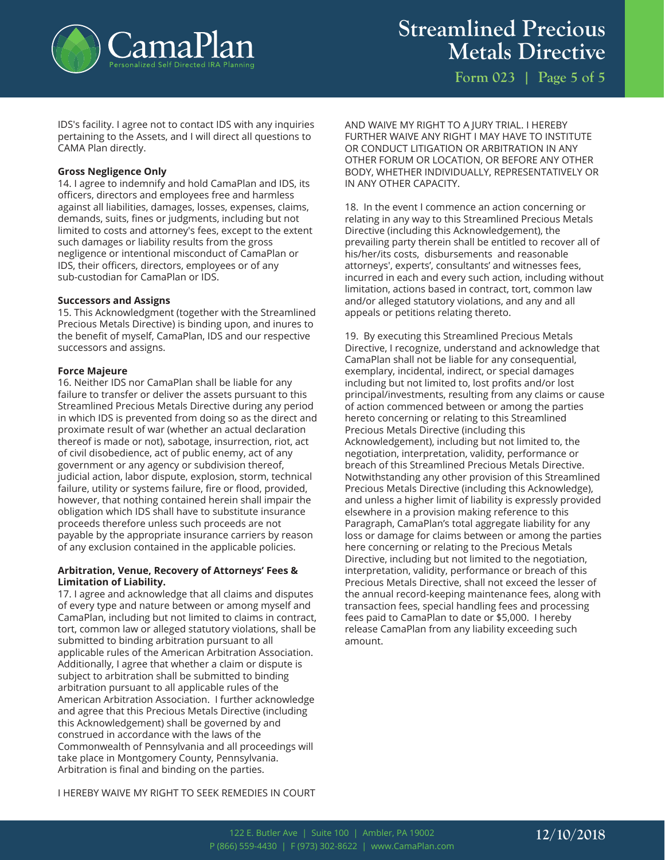

**Form 023 | Page 5 of 5**

IDS's facility. I agree not to contact IDS with any inquiries pertaining to the Assets, and I will direct all questions to CAMA Plan directly.

#### **Gross Negligence Only**

14. I agree to indemnify and hold CamaPlan and IDS, its officers, directors and employees free and harmless against all liabilities, damages, losses, expenses, claims, demands, suits, fines or judgments, including but not limited to costs and attorney's fees, except to the extent such damages or liability results from the gross negligence or intentional misconduct of CamaPlan or IDS, their officers, directors, employees or of any sub-custodian for CamaPlan or IDS.

#### **Successors and Assigns**

15. This Acknowledgment (together with the Streamlined Precious Metals Directive) is binding upon, and inures to the benefit of myself, CamaPlan, IDS and our respective successors and assigns.

#### **Force Majeure**

16. Neither IDS nor CamaPlan shall be liable for any failure to transfer or deliver the assets pursuant to this Streamlined Precious Metals Directive during any period in which IDS is prevented from doing so as the direct and proximate result of war (whether an actual declaration thereof is made or not), sabotage, insurrection, riot, act of civil disobedience, act of public enemy, act of any government or any agency or subdivision thereof, judicial action, labor dispute, explosion, storm, technical failure, utility or systems failure, fire or flood, provided, however, that nothing contained herein shall impair the obligation which IDS shall have to substitute insurance proceeds therefore unless such proceeds are not payable by the appropriate insurance carriers by reason of any exclusion contained in the applicable policies.

#### **Arbitration, Venue, Recovery of Attorneys' Fees & Limitation of Liability.**

17. I agree and acknowledge that all claims and disputes of every type and nature between or among myself and CamaPlan, including but not limited to claims in contract, tort, common law or alleged statutory violations, shall be submitted to binding arbitration pursuant to all applicable rules of the American Arbitration Association. Additionally, I agree that whether a claim or dispute is subject to arbitration shall be submitted to binding arbitration pursuant to all applicable rules of the American Arbitration Association. I further acknowledge and agree that this Precious Metals Directive (including this Acknowledgement) shall be governed by and construed in accordance with the laws of the Commonwealth of Pennsylvania and all proceedings will take place in Montgomery County, Pennsylvania. Arbitration is final and binding on the parties.

AND WAIVE MY RIGHT TO A JURY TRIAL. I HEREBY FURTHER WAIVE ANY RIGHT I MAY HAVE TO INSTITUTE OR CONDUCT LITIGATION OR ARBITRATION IN ANY OTHER FORUM OR LOCATION, OR BEFORE ANY OTHER BODY, WHETHER INDIVIDUALLY, REPRESENTATIVELY OR IN ANY OTHER CAPACITY.

18. In the event I commence an action concerning or relating in any way to this Streamlined Precious Metals Directive (including this Acknowledgement), the prevailing party therein shall be entitled to recover all of his/her/its costs, disbursements and reasonable attorneys', experts', consultants' and witnesses fees, incurred in each and every such action, including without limitation, actions based in contract, tort, common law and/or alleged statutory violations, and any and all appeals or petitions relating thereto.

19. By executing this Streamlined Precious Metals Directive, I recognize, understand and acknowledge that CamaPlan shall not be liable for any consequential, exemplary, incidental, indirect, or special damages including but not limited to, lost profits and/or lost principal/investments, resulting from any claims or cause of action commenced between or among the parties hereto concerning or relating to this Streamlined Precious Metals Directive (including this Acknowledgement), including but not limited to, the negotiation, interpretation, validity, performance or breach of this Streamlined Precious Metals Directive. Notwithstanding any other provision of this Streamlined Precious Metals Directive (including this Acknowledge), and unless a higher limit of liability is expressly provided elsewhere in a provision making reference to this Paragraph, CamaPlan's total aggregate liability for any loss or damage for claims between or among the parties here concerning or relating to the Precious Metals Directive, including but not limited to the negotiation, interpretation, validity, performance or breach of this Precious Metals Directive, shall not exceed the lesser of the annual record-keeping maintenance fees, along with transaction fees, special handling fees and processing fees paid to CamaPlan to date or \$5,000. I hereby release CamaPlan from any liability exceeding such amount.

I HEREBY WAIVE MY RIGHT TO SEEK REMEDIES IN COURT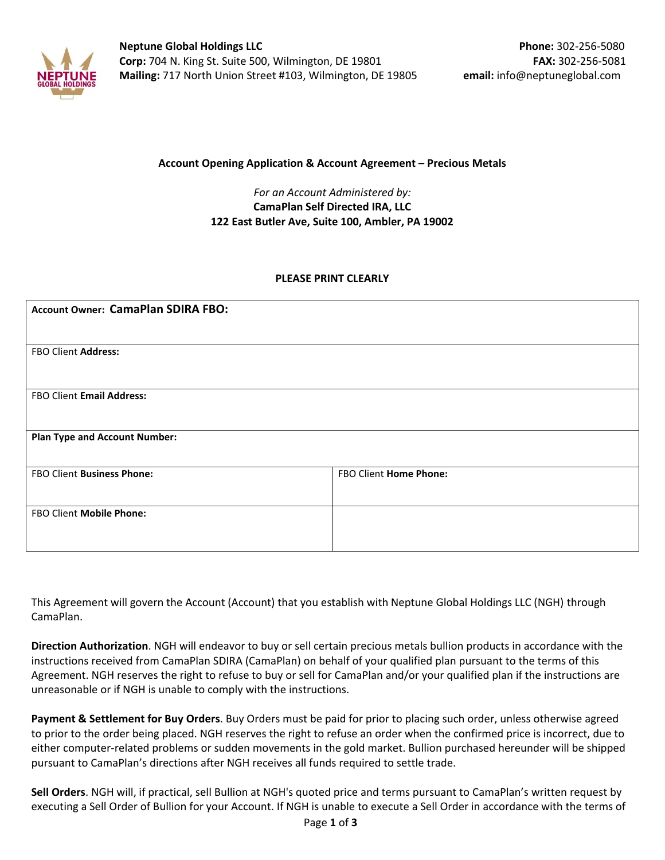

#### **Account Opening Application & Account Agreement – Precious Metals**

### *For an Account Administered by:*  **CamaPlan Self Directed IRA, LLC 122 East Butler Ave, Suite 100, Ambler, PA 19002**

#### **PLEASE PRINT CLEARLY**

| <b>Account Owner: CamaPlan SDIRA FBO:</b> |                        |  |  |
|-------------------------------------------|------------------------|--|--|
|                                           |                        |  |  |
| FBO Client Address:                       |                        |  |  |
|                                           |                        |  |  |
| FBO Client Email Address:                 |                        |  |  |
|                                           |                        |  |  |
| <b>Plan Type and Account Number:</b>      |                        |  |  |
|                                           |                        |  |  |
| FBO Client Business Phone:                | FBO Client Home Phone: |  |  |
|                                           |                        |  |  |
| FBO Client Mobile Phone:                  |                        |  |  |
|                                           |                        |  |  |

This Agreement will govern the Account (Account) that you establish with Neptune Global Holdings LLC (NGH) through CamaPlan.

**Direction Authorization**. NGH will endeavor to buy or sell certain precious metals bullion products in accordance with the instructions received from CamaPlan SDIRA (CamaPlan) on behalf of your qualified plan pursuant to the terms of this Agreement. NGH reserves the right to refuse to buy or sell for CamaPlan and/or your qualified plan if the instructions are unreasonable or if NGH is unable to comply with the instructions.

**Payment & Settlement for Buy Orders**. Buy Orders must be paid for prior to placing such order, unless otherwise agreed to prior to the order being placed. NGH reserves the right to refuse an order when the confirmed price is incorrect, due to either computer-related problems or sudden movements in the gold market. Bullion purchased hereunder will be shipped pursuant to CamaPlan's directions after NGH receives all funds required to settle trade.

**Sell Orders**. NGH will, if practical, sell Bullion at NGH's quoted price and terms pursuant to CamaPlan's written request by executing a Sell Order of Bullion for your Account. If NGH is unable to execute a Sell Order in accordance with the terms of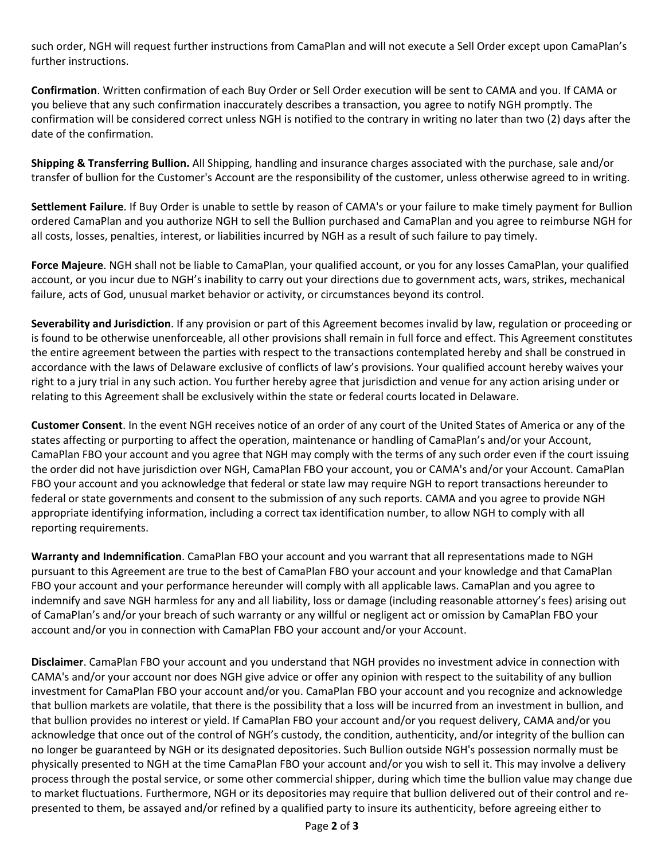such order, NGH will request further instructions from CamaPlan and will not execute a Sell Order except upon CamaPlan's further instructions.

**Confirmation**. Written confirmation of each Buy Order or Sell Order execution will be sent to CAMA and you. If CAMA or you believe that any such confirmation inaccurately describes a transaction, you agree to notify NGH promptly. The confirmation will be considered correct unless NGH is notified to the contrary in writing no later than two (2) days after the date of the confirmation.

**Shipping & Transferring Bullion.** All Shipping, handling and insurance charges associated with the purchase, sale and/or transfer of bullion for the Customer's Account are the responsibility of the customer, unless otherwise agreed to in writing.

**Settlement Failure**. If Buy Order is unable to settle by reason of CAMA's or your failure to make timely payment for Bullion ordered CamaPlan and you authorize NGH to sell the Bullion purchased and CamaPlan and you agree to reimburse NGH for all costs, losses, penalties, interest, or liabilities incurred by NGH as a result of such failure to pay timely.

**Force Majeure**. NGH shall not be liable to CamaPlan, your qualified account, or you for any losses CamaPlan, your qualified account, or you incur due to NGH's inability to carry out your directions due to government acts, wars, strikes, mechanical failure, acts of God, unusual market behavior or activity, or circumstances beyond its control.

**Severability and Jurisdiction**. If any provision or part of this Agreement becomes invalid by law, regulation or proceeding or is found to be otherwise unenforceable, all other provisions shall remain in full force and effect. This Agreement constitutes the entire agreement between the parties with respect to the transactions contemplated hereby and shall be construed in accordance with the laws of Delaware exclusive of conflicts of law's provisions. Your qualified account hereby waives your right to a jury trial in any such action. You further hereby agree that jurisdiction and venue for any action arising under or relating to this Agreement shall be exclusively within the state or federal courts located in Delaware.

**Customer Consent**. In the event NGH receives notice of an order of any court of the United States of America or any of the states affecting or purporting to affect the operation, maintenance or handling of CamaPlan's and/or your Account, CamaPlan FBO your account and you agree that NGH may comply with the terms of any such order even if the court issuing the order did not have jurisdiction over NGH, CamaPlan FBO your account, you or CAMA's and/or your Account. CamaPlan FBO your account and you acknowledge that federal or state law may require NGH to report transactions hereunder to federal or state governments and consent to the submission of any such reports. CAMA and you agree to provide NGH appropriate identifying information, including a correct tax identification number, to allow NGH to comply with all reporting requirements.

**Warranty and Indemnification**. CamaPlan FBO your account and you warrant that all representations made to NGH pursuant to this Agreement are true to the best of CamaPlan FBO your account and your knowledge and that CamaPlan FBO your account and your performance hereunder will comply with all applicable laws. CamaPlan and you agree to indemnify and save NGH harmless for any and all liability, loss or damage (including reasonable attorney's fees) arising out of CamaPlan's and/or your breach of such warranty or any willful or negligent act or omission by CamaPlan FBO your account and/or you in connection with CamaPlan FBO your account and/or your Account.

**Disclaimer**. CamaPlan FBO your account and you understand that NGH provides no investment advice in connection with CAMA's and/or your account nor does NGH give advice or offer any opinion with respect to the suitability of any bullion investment for CamaPlan FBO your account and/or you. CamaPlan FBO your account and you recognize and acknowledge that bullion markets are volatile, that there is the possibility that a loss will be incurred from an investment in bullion, and that bullion provides no interest or yield. If CamaPlan FBO your account and/or you request delivery, CAMA and/or you acknowledge that once out of the control of NGH's custody, the condition, authenticity, and/or integrity of the bullion can no longer be guaranteed by NGH or its designated depositories. Such Bullion outside NGH's possession normally must be physically presented to NGH at the time CamaPlan FBO your account and/or you wish to sell it. This may involve a delivery process through the postal service, or some other commercial shipper, during which time the bullion value may change due to market fluctuations. Furthermore, NGH or its depositories may require that bullion delivered out of their control and represented to them, be assayed and/or refined by a qualified party to insure its authenticity, before agreeing either to